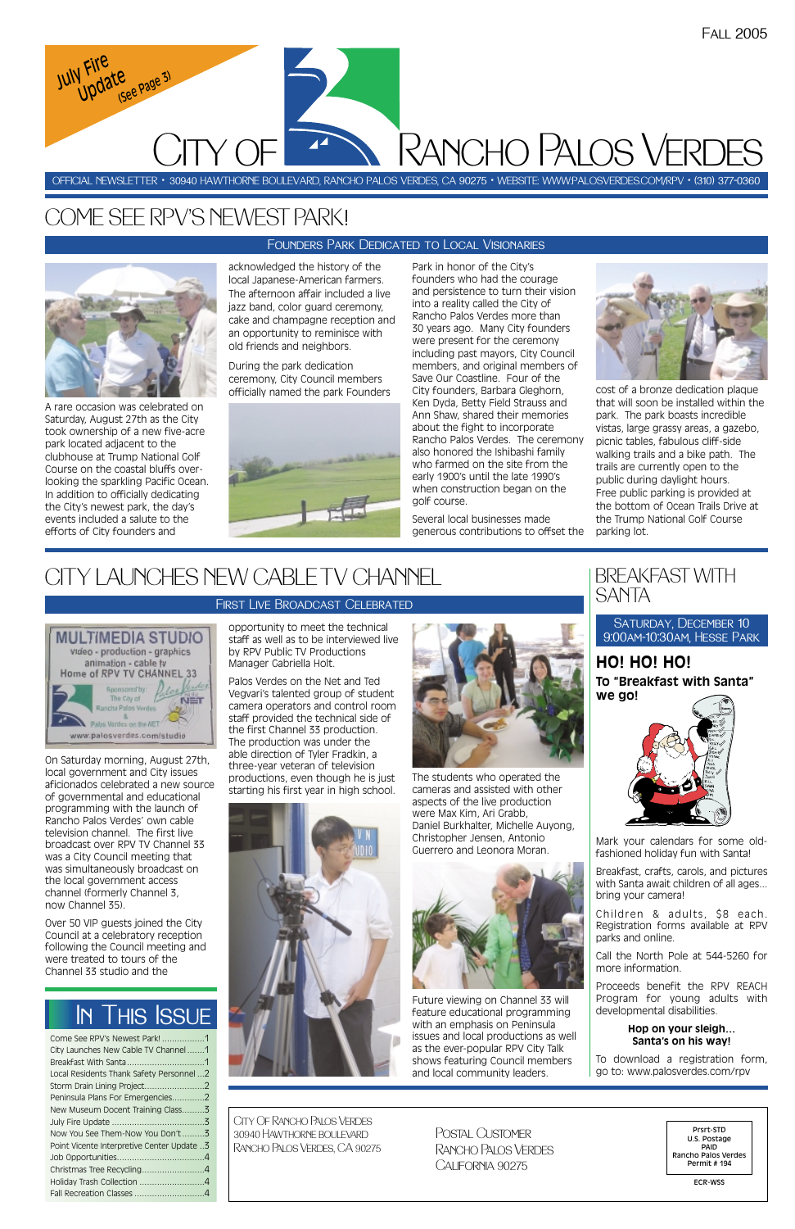On Saturday morning, August 27th, local government and City issues aficionados celebrated a new source of governmental and educational programming with the launch of Rancho Palos Verdes' own cable television channel. The first live broadcast over RPV TV Channel 33 was a City Council meeting that was simultaneously broadcast on the local government access channel (formerly Channel 3,

now Channel 35).

Over 50 VIP guests joined the City Council at a celebratory reception following the Council meeting and were treated to tours of the Channel 33 studio and the

opportunity to meet the technical staff as well as to be interviewed live by RPV Public TV Productions Manager Gabriella Holt.

Palos Verdes on the Net and Ted Vegvari's talented group of student camera operators and control room staff provided the technical side of the first Channel 33 production. The production was under the able direction of Tyler Fradkin, a three-year veteran of television productions, even though he is just starting his first year in high school.





The students who operated the cameras and assisted with other aspects of the live production were Max Kim, Ari Grabb, Daniel Burkhalter, Michelle Auyong, Christopher Jensen, Antonio Guerrero and Leonora Moran.



Future viewing on Channel 33 will feature educational programming with an emphasis on Peninsula issues and local productions as well as the ever-popular RPV City Talk shows featuring Council members and local community leaders.

| Come See RPV's Newest Park! 1              |
|--------------------------------------------|
| City Launches New Cable TV Channel1        |
|                                            |
| Local Residents Thank Safety Personnel 2   |
|                                            |
| Peninsula Plans For Emergencies2           |
| New Museum Docent Training Class3          |
|                                            |
| Now You See Them-Now You Don't 3           |
| Point Vicente Interpretive Center Update 3 |
|                                            |
| Christmas Tree Recycling4                  |
| Holiday Trash Collection 4                 |
|                                            |

A rare occasion was celebrated on Saturday, August 27th as the City took ownership of a new five-acre park located adjacent to the clubhouse at Trump National Golf Course on the coastal bluffs overlooking the sparkling Pacific Ocean. In addition to officially dedicating the City's newest park, the day's events included a salute to the efforts of City founders and

> SATURDAY, DECEMBER 10 9:00am-10:30am, Hesse Park

acknowledged the history of the local Japanese-American farmers. The afternoon affair included a live jazz band, color guard ceremony, cake and champagne reception and an opportunity to reminisce with old friends and neighbors.

During the park dedication ceremony, City Council members officially named the park Founders



Park in honor of the City's founders who had the courage and persistence to turn their vision into a reality called the City of Rancho Palos Verdes more than 30 years ago. Many City founders were present for the ceremony including past mayors, City Council members, and original members of Save Our Coastline. Four of the City founders, Barbara Gleghorn, Ken Dyda, Betty Field Strauss and Ann Shaw, shared their memories about the fight to incorporate Rancho Palos Verdes. The ceremony also honored the Ishibashi family who farmed on the site from the early 1900's until the late 1990's when construction began on the golf course.

Several local businesses made generous contributions to offset the



cost of a bronze dedication plaque that will soon be installed within the park. The park boasts incredible vistas, large grassy areas, a gazebo, picnic tables, fabulous cliff-side walking trails and a bike path. The trails are currently open to the public during daylight hours. Free public parking is provided at the bottom of Ocean Trails Drive at the Trump National Golf Course parking lot.

# COME SEE RPV'S NEWEST PARK!

OFFICIAL NEWSLETTER • 30940 HAWTHORNE BOULEVARD, RANCHO PALOS VERDES, CA 90275 • WEBSITE: WWW:PALOSVERDES.COM/RPV • (310) 377-0360

CITY OF Rancho Palos Verdes *July Fire*  **Update** Page 3)

> City Of Rancho Palos Verdes 30940 Hawthorne boulevard Rancho Palos Verdes, CA 90275

Prsrt-STD U.S. Postage PAID Rancho Palos Verdes Permit # 194

ECR-WSS

Postal Customer Rancho Palos Verdes California 90275

# In This Issue

## Founders Park Dedicated to Local Visionaries



# CITY LAUNCHES NEW CABLE TV CHANNEL

#### **MULTIMEDIA STUDIO** video - production - graphics animation - cable tv Home of RPV TV CHANNEL 33 ades incresored by The City of  $N = T$ ho Palos Verde Palos Verdes on the NET www.palosverdes.com/studio

## First Live Broadcast Celebrated

## BREAKFAST WITH SANTA

**HO! HO! HO! To "Breakfast with Santa" we go!**



Mark your calendars for some oldfashioned holiday fun with Santa!

Breakfast, crafts, carols, and pictures with Santa await children of all ages... bring your camera!

Children & adults, \$8 each. Registration forms available at RPV parks and online.

Call the North Pole at 544-5260 for more information.

Proceeds benefit the RPV REACH Program for young adults with developmental disabilities.

## **Hop on your sleigh… Santa's on his way!**

To download a registration form, go to: www.palosverdes.com/rpv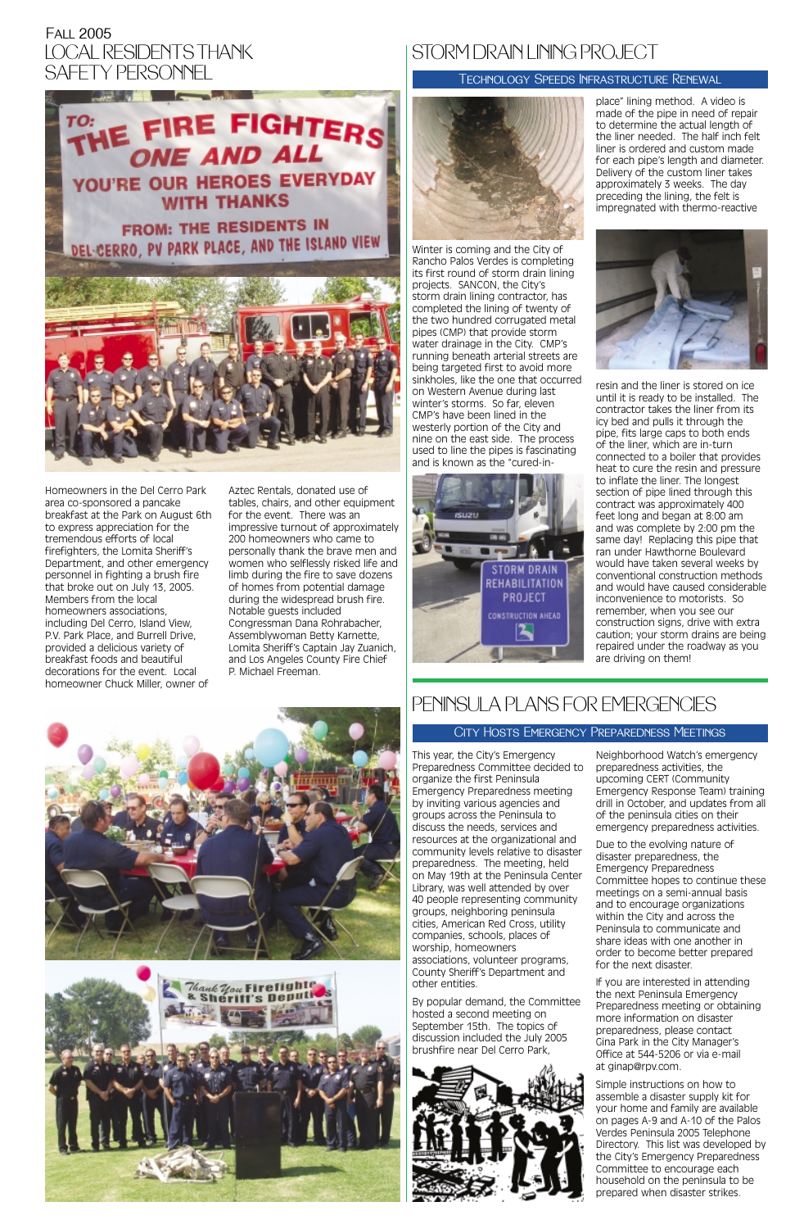Homeowners in the Del Cerro Park area co-sponsored a pancake breakfast at the Park on August 6th to express appreciation for the tremendous efforts of local firefighters, the Lomita Sheriff's Department, and other emergency personnel in fighting a brush fire that broke out on July 13, 2005. Members from the local homeowners associations, including Del Cerro, Island View, P.V. Park Place, and Burrell Drive, provided a delicious variety of breakfast foods and beautiful decorations for the event. Local homeowner Chuck Miller, owner of

## Fall 2005 LOCAL RESIDENTS THANK SAFETY PERSONNEL

Aztec Rentals, donated use of tables, chairs, and other equipment for the event. There was an impressive turnout of approximately 200 homeowners who came to personally thank the brave men and women who selflessly risked life and limb during the fire to save dozens of homes from potential damage during the widespread brush fire. Notable guests included Congressman Dana Rohrabacher, Assemblywoman Betty Karnette, Lomita Sheriff's Captain Jay Zuanich, and Los Angeles County Fire Chief P. Michael Freeman.



This year, the City's Emergency Preparedness Committee decided to organize the first Peninsula Emergency Preparedness meeting by inviting various agencies and groups across the Peninsula to discuss the needs, services and resources at the organizational and community levels relative to disaster preparedness. The meeting, held on May 19th at the Peninsula Center Library, was well attended by over 40 people representing community groups, neighboring peninsula cities, American Red Cross, utility companies, schools, places of worship, homeowners associations, volunteer programs, County Sheriff's Department and other entities.

By popular demand, the Committee hosted a second meeting on September 15th. The topics of discussion included the July 2005 brushfire near Del Cerro Park,



Neighborhood Watch's emergency preparedness activities, the upcoming CERT (Community Emergency Response Team) training drill in October, and updates from all of the peninsula cities on their emergency preparedness activities.

Due to the evolving nature of disaster preparedness, the Emergency Preparedness Committee hopes to continue these meetings on a semi-annual basis and to encourage organizations within the City and across the Peninsula to communicate and share ideas with one another in order to become better prepared for the next disaster. If you are interested in attending the next Peninsula Emergency Preparedness meeting or obtaining more information on disaster preparedness, please contact Gina Park in the City Manager's Office at 544-5206 or via e-mail at ginap@rpv.com. Simple instructions on how to assemble a disaster supply kit for your home and family are available on pages A-9 and A-10 of the Palos Verdes Peninsula 2005 Telephone Directory. This list was developed by the City's Emergency Preparedness Committee to encourage each household on the peninsula to be prepared when disaster strikes.

# PENINSULA PLANS FOR EMERGENCIES

## City Hosts Emergency Preparedness Meetings

Winter is coming and the City of Rancho Palos Verdes is completing its first round of storm drain lining projects. SANCON, the City's storm drain lining contractor, has completed the lining of twenty of the two hundred corrugated metal pipes (CMP) that provide storm water drainage in the City. CMP's running beneath arterial streets are being targeted first to avoid more sinkholes, like the one that occurred on Western Avenue during last winter's storms. So far, eleven CMP's have been lined in the westerly portion of the City and nine on the east side. The process used to line the pipes is fascinating and is known as the "cured-in-



place" lining method. A video is made of the pipe in need of repair to determine the actual length of the liner needed. The half inch felt liner is ordered and custom made for each pipe's length and diameter. Delivery of the custom liner takes approximately 3 weeks. The day preceding the lining, the felt is impregnated with thermo-reactive



resin and the liner is stored on ice until it is ready to be installed. The contractor takes the liner from its icy bed and pulls it through the pipe, fits large caps to both ends of the liner, which are in-turn connected to a boiler that provides heat to cure the resin and pressure to inflate the liner. The longest section of pipe lined through this contract was approximately 400 feet long and began at 8:00 am and was complete by 2:00 pm the same day! Replacing this pipe that ran under Hawthorne Boulevard would have taken several weeks by conventional construction methods and would have caused considerable inconvenience to motorists. So remember, when you see our construction signs, drive with extra caution; your storm drains are being repaired under the roadway as you are driving on them!





## Technology Speeds Infrastructure Renewal

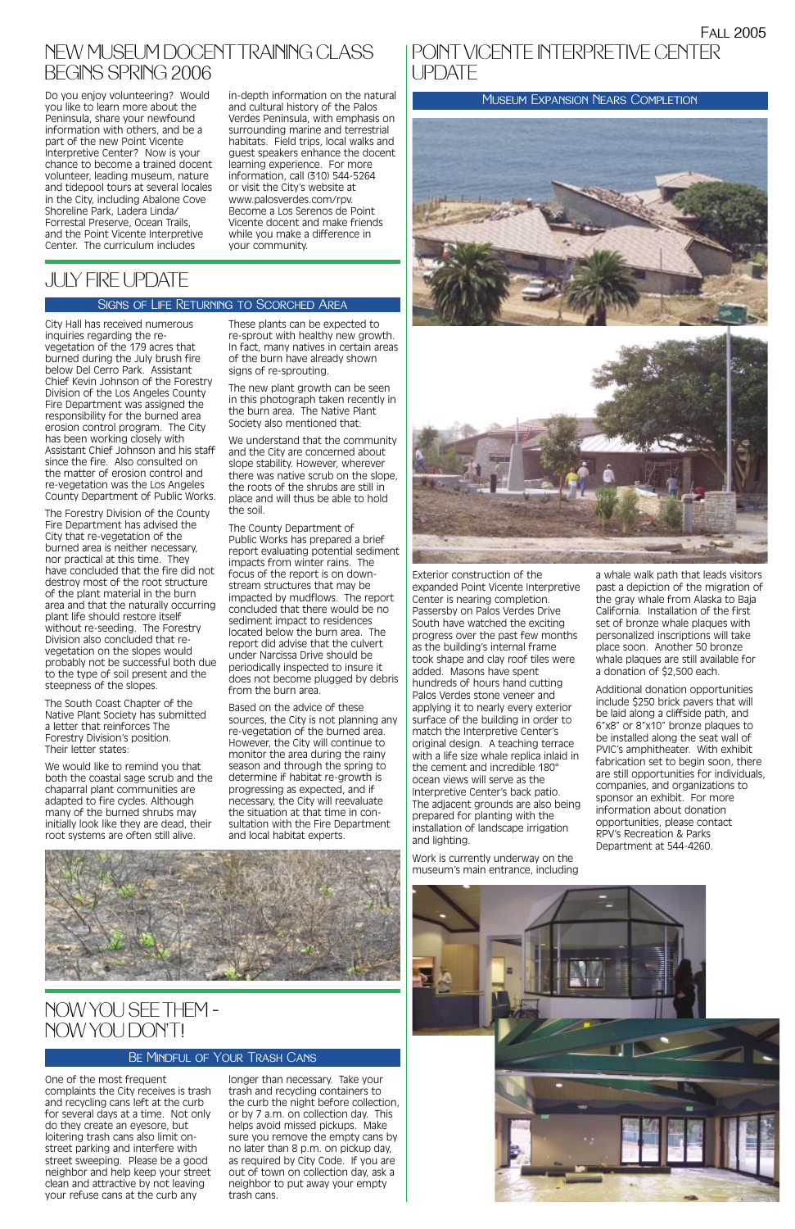Exterior construction of the expanded Point Vicente Interpretive Center is nearing completion. Passersby on Palos Verdes Drive South have watched the exciting progress over the past few months as the building's internal frame took shape and clay roof tiles were added. Masons have spent hundreds of hours hand cutting Palos Verdes stone veneer and applying it to nearly every exterior surface of the building in order to match the Interpretive Center's original design. A teaching terrace with a life size whale replica inlaid in the cement and incredible 180° ocean views will serve as the Interpretive Center's back patio. The adjacent grounds are also being prepared for planting with the installation of landscape irrigation and lighting.

Work is currently underway on the museum's main entrance, including a whale walk path that leads visitors past a depiction of the migration of the gray whale from Alaska to Baja California. Installation of the first set of bronze whale plaques with personalized inscriptions will take place soon. Another 50 bronze whale plaques are still available for a donation of \$2,500 each.

Do you enjoy volunteering? Would in-depth information on the natural MUSEUM Expansion Nears Completion you like to learn more about the Peninsula, share your newfound information with others, and be a part of the new Point Vicente Interpretive Center? Now is your chance to become a trained docent volunteer, leading museum, nature and tidepool tours at several locales in the City, including Abalone Cove Shoreline Park, Ladera Linda/ Forrestal Preserve, Ocean Trails, and the Point Vicente Interpretive Center. The curriculum includes

## NEW MUSEUM DOCENTTRAINING CLASS BEGINS SPRING 2006

Additional donation opportunities include \$250 brick pavers that will be laid along a cliffside path, and 6"x8" or 8"x10" bronze plaques to be installed along the seat wall of PVIC's amphitheater. With exhibit fabrication set to begin soon, there are still opportunities for individuals, companies, and organizations to sponsor an exhibit. For more information about donation opportunities, please contact RPV's Recreation & Parks Department at 544-4260.



## POINT VICENTE INTERPRETIVE CENTERUPDATE





in-depth information on the natural and cultural history of the Palos Verdes Peninsula, with emphasis on surrounding marine and terrestrial habitats. Field trips, local walks and guest speakers enhance the docent learning experience. For more information, call (310) 544-5264 or visit the City's website at www.palosverdes.com/rpv. Become a Los Serenos de Point Vicente docent and make friends while you make a difference in your community.

One of the most frequent complaints the City receives is trash and recycling cans left at the curb for several days at a time. Not only do they create an eyesore, but loitering trash cans also limit onstreet parking and interfere with street sweeping. Please be a good neighbor and help keep your street clean and attractive by not leaving your refuse cans at the curb any

longer than necessary. Take your trash and recycling containers to the curb the night before collection, or by 7 a.m. on collection day. This helps avoid missed pickups. Make sure you remove the empty cans by no later than 8 p.m. on pickup day, as required by City Code. If you are out of town on collection day, ask a neighbor to put away your empty trash cans.





## NOW YOU SEE THEM – NOW YOU DON'T!

## Be Mindful of Your Trash Cans

City Hall has received numerous inquiries regarding the revegetation of the 179 acres that burned during the July brush fire below Del Cerro Park. Assistant Chief Kevin Johnson of the Forestry Division of the Los Angeles County Fire Department was assigned the responsibility for the burned area erosion control program. The City has been working closely with Assistant Chief Johnson and his staff since the fire. Also consulted on the matter of erosion control and re-vegetation was the Los Angeles County Department of Public Works.

The Forestry Division of the County Fire Department has advised the City that re-vegetation of the burned area is neither necessary, nor practical at this time. They have concluded that the fire did not destroy most of the root structure of the plant material in the burn area and that the naturally occurring plant life should restore itself without re-seeding. The Forestry Division also concluded that revegetation on the slopes would probably not be successful both due to the type of soil present and the steepness of the slopes.

The South Coast Chapter of the Native Plant Society has submitted a letter that reinforces The Forestry Division's position. Their letter states:

We would like to remind you that both the coastal sage scrub and the chaparral plant communities are adapted to fire cycles. Although many of the burned shrubs may initially look like they are dead, their root systems are often still alive.

These plants can be expected to re-sprout with healthy new growth. In fact, many natives in certain areas of the burn have already shown signs of re-sprouting.

The new plant growth can be seen in this photograph taken recently in the burn area. The Native Plant Society also mentioned that:

We understand that the community and the City are concerned about slope stability. However, wherever there was native scrub on the slope, the roots of the shrubs are still in place and will thus be able to hold the soil.

The County Department of Public Works has prepared a brief report evaluating potential sediment impacts from winter rains. The focus of the report is on downstream structures that may be impacted by mudflows. The report concluded that there would be no sediment impact to residences located below the burn area. The report did advise that the culvert under Narcissa Drive should be periodically inspected to insure it does not become plugged by debris from the burn area.

Based on the advice of these sources, the City is not planning any re-vegetation of the burned area. However, the City will continue to monitor the area during the rainy season and through the spring to determine if habitat re-growth is progressing as expected, and if necessary, the City will reevaluate the situation at that time in consultation with the Fire Department and local habitat experts.

# JULY FIRE UPDATE

## Signs of Life Returning to Scorched Area